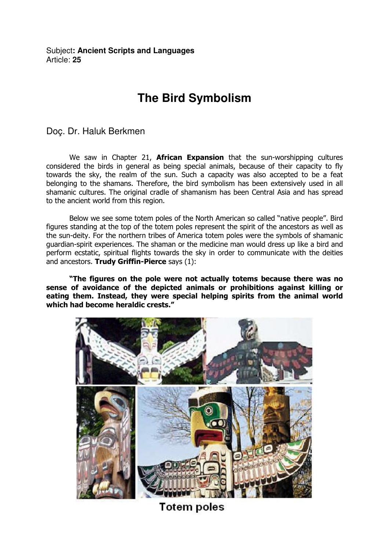Subject**: Ancient Scripts and Languages**  Article: **25**

## **The Bird Symbolism**

Doç. Dr. Haluk Berkmen

We saw in Chapter 21, **African Expansion** that the sun-worshipping cultures considered the birds in general as being special animals, because of their capacity to fly towards the sky, the realm of the sun. Such a capacity was also accepted to be a feat belonging to the shamans. Therefore, the bird symbolism has been extensively used in all shamanic cultures. The original cradle of shamanism has been Central Asia and has spread to the ancient world from this region.

Below we see some totem poles of the North American so called "native people". Bird figures standing at the top of the totem poles represent the spirit of the ancestors as well as the sun-deity. For the northern tribes of America totem poles were the symbols of shamanic guardian-spirit experiences. The shaman or the medicine man would dress up like a bird and perform ecstatic, spiritual flights towards the sky in order to communicate with the deities and ancestors. Trudy Griffin-Pierce says (1):

"The figures on the pole were not actually totems because there was no sense of avoidance of the depicted animals or prohibitions against killing or eating them. Instead, they were special helping spirits from the animal world which had become heraldic crests."



**Totem poles**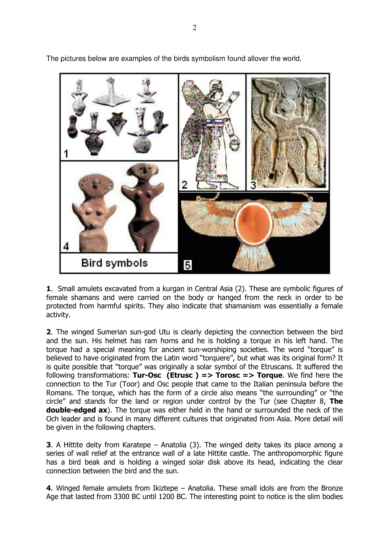

The pictures below are examples of the birds symbolism found allover the world.

1. Small amulets excavated from a kurgan in Central Asia (2). These are symbolic figures of female shamans and were carried on the body or hanged from the neck in order to be protected from harmful spirits. They also indicate that shamanism was essentially a female activity.

2. The winged Sumerian sun-god Utu is clearly depicting the connection between the bird and the sun. His helmet has ram horns and he is holding a torque in his left hand. The torque had a special meaning for ancient sun-worshiping societies. The word "torque" is believed to have originated from the Latin word "torquere", but what was its original form? It is quite possible that "torque" was originally a solar symbol of the Etruscans. It suffered the following transformations: Tur-Osc (Etrusc) => Torosc => Torque. We find here the connection to the Tur (Toor) and Osc people that came to the Italian peninsula before the Romans. The torque, which has the form of a circle also means "the surrounding" or "the circle" and stands for the land or region under control by the Tur (see Chapter 8, The double-edged ax). The torque was either held in the hand or surrounded the neck of the Och leader and is found in many different cultures that originated from Asia. More detail will be given in the following chapters.

3. A Hittite deity from Karatepe – Anatolia (3). The winged deity takes its place among a series of wall relief at the entrance wall of a late Hittite castle. The anthropomorphic figure has a bird beak and is holding a winged solar disk above its head, indicating the clear connection between the bird and the sun.

4. Winged female amulets from Ikiztepe – Anatolia. These small idols are from the Bronze Age that lasted from 3300 BC until 1200 BC. The interesting point to notice is the slim bodies